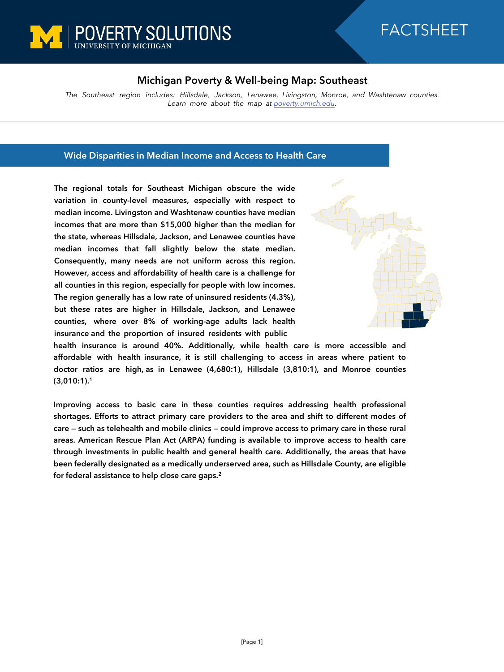

# FACTSHEET

# **Michigan Poverty & Well-being Map: Southeast**

*The Southeast region includes: Hillsdale, Jackson, Lenawee, Livingston, Monroe, and Washtenaw counties. Learn more about the map at [poverty.umich.edu](https://poverty.umich.edu/research-funding-opportunities/data-tools/michigan-poverty-well-being-map/).*

### **Wide Disparities in Median Income and Access to Health Care**

**The regional totals for Southeast Michigan obscure the wide variation in county-level measures, especially with respect to median income. Livingston and Washtenaw counties have median incomes that are more than \$15,000 higher than the median for the state, whereas Hillsdale, Jackson, and Lenawee counties have median incomes that fall slightly below the state median. Consequently, many needs are not uniform across this region. However, access and affordability of health care is a challenge for all counties in this region, especially for people with low incomes. The region generally has a low rate of uninsured residents (4.3%), but these rates are higher in Hillsdale, Jackson, and Lenawee counties, where over 8% of working-age adults lack health insurance and the proportion of insured residents with public**



**health insurance is around 40%. Additionally, while health care is more accessible and affordable with health insurance, it is still challenging to access in areas where patient to doctor ratios are high, as in Lenawee (4,680:1), Hillsdale (3,810:1), and Monroe counties (3,010:1).<sup>1</sup>**

**Improving access to basic care in these counties requires addressing health professional shortages. Efforts to attract primary care providers to the area and shift to different modes of care — such as telehealth and mobile clinics — could improve access to primary care in these rural areas. American Rescue Plan Act (ARPA) funding is available to improve access to health care through investments in public health and general health care. Additionally, the areas that have been federally designated as a medically underserved area, such as Hillsdale County, are eligible for federal assistance to help close care gaps.<sup>2</sup>**